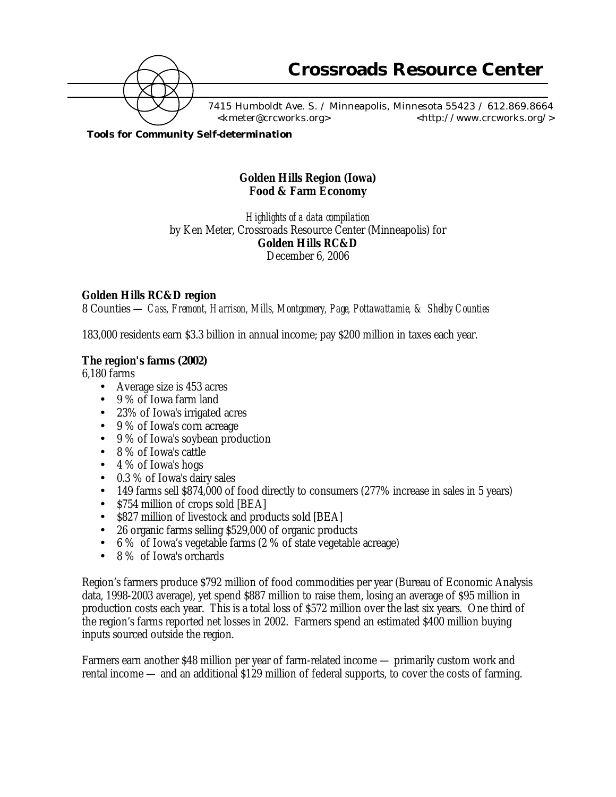

7415 Humboldt Ave. S. / Minneapolis, Minnesota 55423 / 612.869.8664 <kmeter@crcworks.org> <http://www.crcworks.org/>

*Tools for Community Self-determination*

# **Golden Hills Region (Iowa) Food & Farm Economy**

*Highlights of a data compilation* by Ken Meter, Crossroads Resource Center (Minneapolis) for **Golden Hills RC&D** December 6, 2006

# **Golden Hills RC&D region**

8 Counties — *Cass, Fremont, Harrison, Mills, Montgomery, Page, Pottawattamie, & Shelby Counties*

183,000 residents earn \$3.3 billion in annual income; pay \$200 million in taxes each year.

#### **The region's farms (2002)**

6,180 farms

- Average size is 453 acres
- 9 % of Iowa farm land
- 23% of Iowa's irrigated acres
- 9 % of Iowa's corn acreage
- 9 % of Iowa's soybean production
- 8 % of Iowa's cattle
- 4 % of Iowa's hogs
- 0.3 % of Iowa's dairy sales
- 149 farms sell \$874,000 of food directly to consumers (277% increase in sales in 5 years)
- \$754 million of crops sold [BEA]
- \$827 million of livestock and products sold [BEA]
- 26 organic farms selling \$529,000 of organic products
- 6 % of Iowa's vegetable farms (2 % of state vegetable acreage)
- 8 % of Iowa's orchards

Region's farmers produce \$792 million of food commodities per year (Bureau of Economic Analysis data, 1998-2003 average), yet spend \$887 million to raise them, losing an average of \$95 million in production costs each year. This is a total loss of \$572 million over the last six years. One third of the region's farms reported net losses in 2002. Farmers spend an estimated \$400 million buying inputs sourced outside the region.

Farmers earn another \$48 million per year of farm-related income — primarily custom work and rental income — and an additional \$129 million of federal supports, to cover the costs of farming.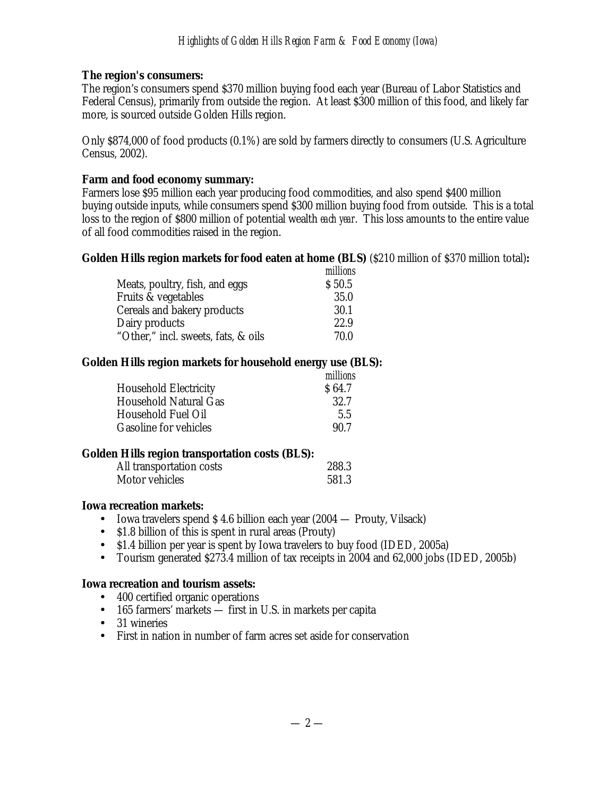# **The region's consumers:**

The region's consumers spend \$370 million buying food each year (Bureau of Labor Statistics and Federal Census), primarily from outside the region. At least \$300 million of this food, and likely far more, is sourced outside Golden Hills region.

Only \$874,000 of food products (0.1%) are sold by farmers directly to consumers (U.S. Agriculture Census, 2002).

# **Farm and food economy summary:**

Farmers lose \$95 million each year producing food commodities, and also spend \$400 million buying outside inputs, while consumers spend \$300 million buying food from outside. This is a total loss to the region of \$800 million of potential wealth *each year*. This loss amounts to the entire value of all food commodities raised in the region.

# **Golden Hills region markets for food eaten at home (BLS)** (\$210 million of \$370 million total)**:**

|                                     | millions |
|-------------------------------------|----------|
| Meats, poultry, fish, and eggs      | \$50.5   |
| Fruits & vegetables                 | 35.0     |
| Cereals and bakery products         | 30.1     |
| Dairy products                      | 22.9     |
| "Other," incl. sweets, fats, & oils | 70.0     |

# **Golden Hills region markets for household energy use (BLS):**

|                              | millions |
|------------------------------|----------|
| <b>Household Electricity</b> | \$64.7   |
| Household Natural Gas        | 32.7     |
| Household Fuel Oil           | 5.5      |
| Gasoline for vehicles        | 90.7     |

# **Golden Hills region transportation costs (BLS):**

| . .<br>All transportation costs |  | 288.3 |
|---------------------------------|--|-------|
| Motor vehicles                  |  | 581.3 |

# **Iowa recreation markets:**

- Iowa travelers spend \$4.6 billion each year (2004 Prouty, Vilsack)
- \$1.8 billion of this is spent in rural areas (Prouty)
- \$1.4 billion per year is spent by Iowa travelers to buy food (IDED, 2005a)
- Tourism generated \$273.4 million of tax receipts in 2004 and 62,000 jobs (IDED, 2005b)

# **Iowa recreation and tourism assets:**

- 400 certified organic operations
- 165 farmers' markets first in U.S. in markets per capita
- 31 wineries
- First in nation in number of farm acres set aside for conservation